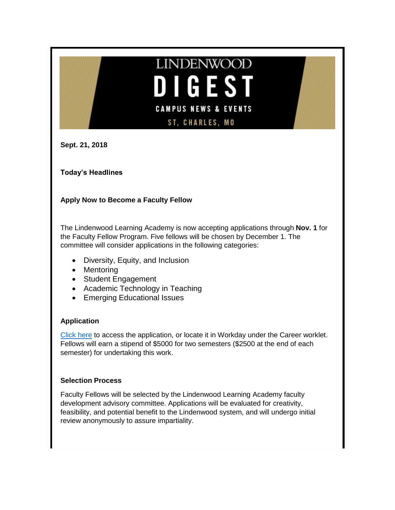# **LINDENWOOD DIGEST CAMPUS NEWS & EVENTS ST, CHARLES, MO**

**Sept. 21, 2018**

**Today's Headlines**

# **Apply Now to Become a Faculty Fellow**

The Lindenwood Learning Academy is now accepting applications through **Nov. 1** for the Faculty Fellow Program. Five fellows will be chosen by December 1. The committee will consider applications in the following categories:

- Diversity, Equity, and Inclusion
- Mentoring
- Student Engagement
- Academic Technology in Teaching
- Emerging Educational Issues

# **Application**

[Click here](https://www.myworkday.com/lindenwood/d/inst/15$158872/9925$4177.htmld) to access the application, or locate it in Workday under the Career worklet. Fellows will earn a stipend of \$5000 for two semesters (\$2500 at the end of each semester) for undertaking this work.

# **Selection Process**

Faculty Fellows will be selected by the Lindenwood Learning Academy faculty development advisory committee. Applications will be evaluated for creativity, feasibility, and potential benefit to the Lindenwood system, and will undergo initial review anonymously to assure impartiality.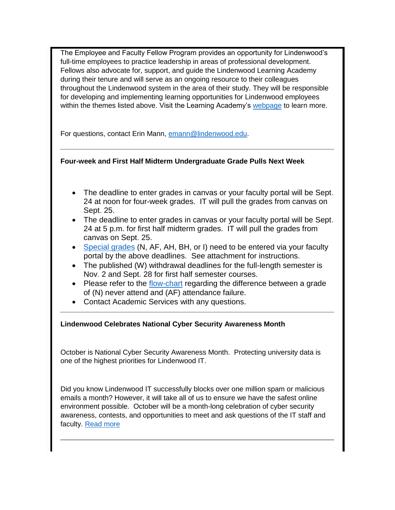The Employee and Faculty Fellow Program provides an opportunity for Lindenwood's full-time employees to practice leadership in areas of professional development. Fellows also advocate for, support, and guide the Lindenwood Learning Academy during their tenure and will serve as an ongoing resource to their colleagues throughout the Lindenwood system in the area of their study. They will be responsible for developing and implementing learning opportunities for Lindenwood employees within the themes listed above. Visit the Learning Academy's [webpage](http://www.lindenwood.edu/human-resources/lindenwood-learning-academy/fellows/) to learn more.

For questions, contact Erin Mann, [emann@lindenwood.edu.](mailto:emann@lindenwood.edu)

# **Four-week and First Half Midterm Undergraduate Grade Pulls Next Week**

- The deadline to enter grades in canvas or your faculty portal will be Sept. 24 at noon for four-week grades. IT will pull the grades from canvas on Sept. 25.
- The deadline to enter grades in canvas or your faculty portal will be Sept. 24 at 5 p.m. for first half midterm grades. IT will pull the grades from canvas on Sept. 25.
- [Special grades](http://felix.lindenwood.edu/newsletter/2018_09/specialgradesguide.pdf) (N, AF, AH, BH, or I) need to be entered via your faculty portal by the above deadlines. See attachment for instructions.
- The published (W) withdrawal deadlines for the full-length semester is Nov. 2 and Sept. 28 for first half semester courses.
- Please refer to the [flow-chart](http://felix.lindenwood.edu/newsletter/2018_09/flowchartgrades.pdf) regarding the difference between a grade of (N) never attend and (AF) attendance failure.
- Contact Academic Services with any questions.

# **Lindenwood Celebrates National Cyber Security Awareness Month**

October is National Cyber Security Awareness Month. Protecting university data is one of the highest priorities for Lindenwood IT.

Did you know Lindenwood IT successfully blocks over one million spam or malicious emails a month? However, it will take all of us to ensure we have the safest online environment possible. October will be a month-long celebration of cyber security awareness, contests, and opportunities to meet and ask questions of the IT staff and faculty. [Read more](http://felix.lindenwood.edu/newsletter/2018_09/cybersecurity.pdf)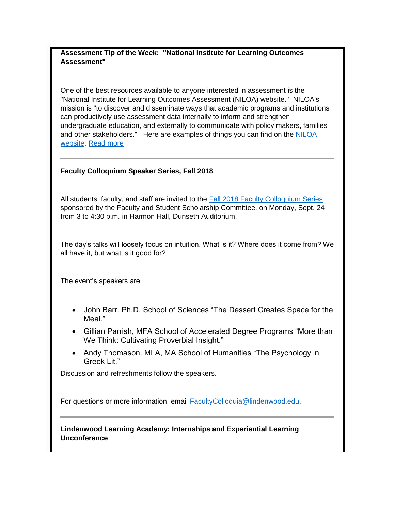## **Assessment Tip of the Week: "National Institute for Learning Outcomes Assessment"**

One of the best resources available to anyone interested in assessment is the "National Institute for Learning Outcomes Assessment (NILOA) website." NILOA's mission is "to discover and disseminate ways that academic programs and institutions can productively use assessment data internally to inform and strengthen undergraduate education, and externally to communicate with policy makers, families and other stakeholders." Here are examples of things you can find on the [NILOA](http://www.learningoutcomesassessment.org/)  [website:](http://www.learningoutcomesassessment.org/) [Read more](http://felix.lindenwood.edu/newsletter/2018_09/tip0921.pdf)

## **Faculty Colloquium Speaker Series, Fall 2018**

All students, faculty, and staff are invited to the [Fall 2018 Faculty Colloquium Series](http://www.lindenwood.edu/academics/academic-enrichment/faculty-colloquium/) sponsored by the Faculty and Student Scholarship Committee, on Monday, Sept. 24 from 3 to 4:30 p.m. in Harmon Hall, Dunseth Auditorium.

The day's talks will loosely focus on intuition. What is it? Where does it come from? We all have it, but what is it good for?

The event's speakers are

- John Barr. Ph.D. School of Sciences "The Dessert Creates Space for the Meal."
- Gillian Parrish, MFA School of Accelerated Degree Programs "More than We Think: Cultivating Proverbial Insight."
- Andy Thomason. MLA, MA School of Humanities "The Psychology in Greek Lit."

Discussion and refreshments follow the speakers.

For questions or more information, email [FacultyColloquia@lindenwood.edu.](mailto:FacultyColloquia@lindenwood.edu)

**Lindenwood Learning Academy: Internships and Experiential Learning Unconference**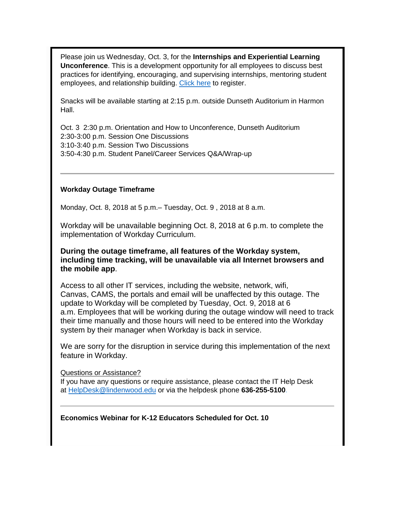Please join us Wednesday, Oct. 3, for the **Internships and Experiential Learning Unconference**. This is a development opportunity for all employees to discuss best practices for identifying, encouraging, and supervising internships, mentoring student employees, and relationship building. [Click](https://www.eventbrite.com/e/lindenwood-learning-academy-internships-and-experiential-learning-unconference-tickets-50229267090) here to register.

Snacks will be available starting at 2:15 p.m. outside Dunseth Auditorium in Harmon Hall.

Oct. 3 2:30 p.m. Orientation and How to Unconference, Dunseth Auditorium 2:30-3:00 p.m. Session One Discussions 3:10-3:40 p.m. Session Two Discussions 3:50-4:30 p.m. Student Panel/Career Services Q&A/Wrap-up

## **Workday Outage Timeframe**

Monday, Oct. 8, 2018 at 5 p.m.– Tuesday, Oct. 9 , 2018 at 8 a.m.

Workday will be unavailable beginning Oct. 8, 2018 at 6 p.m. to complete the implementation of Workday Curriculum.

**During the outage timeframe, all features of the Workday system, including time tracking, will be unavailable via all Internet browsers and the mobile app**.

Access to all other IT services, including the website, network, wifi, Canvas, CAMS, the portals and email will be unaffected by this outage. The update to Workday will be completed by Tuesday, Oct. 9, 2018 at 6 a.m. Employees that will be working during the outage window will need to track their time manually and those hours will need to be entered into the Workday system by their manager when Workday is back in service.

We are sorry for the disruption in service during this implementation of the next feature in Workday.

Questions or Assistance?

If you have any questions or require assistance, please contact the IT Help Desk at [HelpDesk@lindenwood.edu](mailto:HelpDesk@lindenwood.edu) or via the helpdesk phone **636-255-5100**.

**Economics Webinar for K-12 Educators Scheduled for Oct. 10**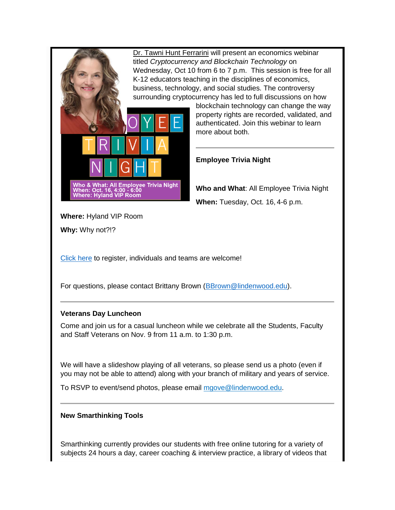[Dr. Tawni Hunt Ferrarini](http://www.lindenwood.edu/academics/centers-institutes/the-hammond-institute/people-of-the-hammond-institute/dr-tawni-ferrarini/) will present an economics webinar titled *Cryptocurrency and Blockchain Technology* on Wednesday, Oct 10 from 6 to 7 p.m. This session is free for all K-12 educators teaching in the disciplines of economics, business, technology, and social studies. The controversy surrounding cryptocurrency has led to full discussions on how blockchain technology can change the way property rights are recorded, validated, and authenticated. Join this webinar to learn more about both. **Employee Trivia Night** Who & What: All Employee Trivia Night **Who and What**: All Employee Trivia Night When: Oct. 16, 4:00 - 6:00<br>Where: Hyland VIP Room **When:** Tuesday, Oct. 16, 4-6 p.m. **Where:** Hyland VIP Room **Why:** Why not?!? [Click here](https://lindenwood.az1.qualtrics.com/jfe/form/SV_a3Q8DhP3uZmXU3P) to register, individuals and teams are welcome! For questions, please contact Brittany Brown [\(BBrown@lindenwood.edu\)](mailto:BBrown@lindenwood.edu). **Veterans Day Luncheon** Come and join us for a casual luncheon while we celebrate all the Students, Faculty and Staff Veterans on Nov. 9 from 11 a.m. to 1:30 p.m. We will have a slideshow playing of all veterans, so please send us a photo (even if you may not be able to attend) along with your branch of military and years of service.

To RSVP to event/send photos, please email [mgove@lindenwood.edu.](mailto:mgove@lindenwood.edu)

# **New Smarthinking Tools**

Smarthinking currently provides our students with free online tutoring for a variety of subjects 24 hours a day, career coaching & interview practice, a library of videos that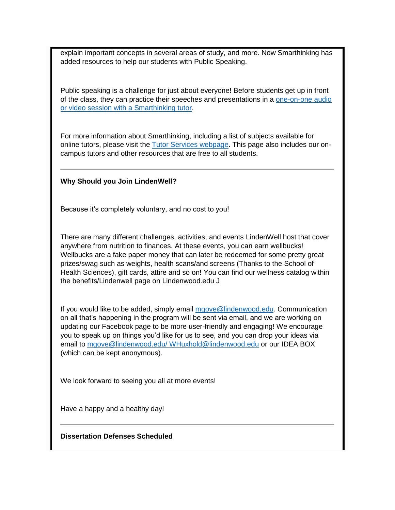explain important concepts in several areas of study, and more. Now Smarthinking has added resources to help our students with Public Speaking.

Public speaking is a challenge for just about everyone! Before students get up in front of the class, they can practice their speeches and presentations in a [one-on-one audio](http://felix.lindenwood.edu/newsletter/2018_09/smarthinking.pdf)  [or video session with a Smarthinking tutor.](http://felix.lindenwood.edu/newsletter/2018_09/smarthinking.pdf)

For more information about Smarthinking, including a list of subjects available for online tutors, please visit the [Tutor Services webpage.](http://www.lindenwood.edu/tutor) This page also includes our oncampus tutors and other resources that are free to all students.

## **Why Should you Join LindenWell?**

Because it's completely voluntary, and no cost to you!

There are many different challenges, activities, and events LindenWell host that cover anywhere from nutrition to finances. At these events, you can earn wellbucks! Wellbucks are a fake paper money that can later be redeemed for some pretty great prizes/swag such as weights, health scans/and screens (Thanks to the School of Health Sciences), gift cards, attire and so on! You can find our wellness catalog within the benefits/Lindenwell page on Lindenwood.edu J

If you would like to be added, simply email [mgove@lindenwood.edu.](mailto:mgove@lindenwood.edu) Communication on all that's happening in the program will be sent via email, and we are working on updating our Facebook page to be more user-friendly and engaging! We encourage you to speak up on things you'd like for us to see, and you can drop your ideas via email to [mgove@lindenwood.edu/ WHuxhold@lindenwood.edu](mailto:mgove@lindenwood.edu/%20WHuxhold@lindenwood.edu) or our IDEA BOX (which can be kept anonymous).

We look forward to seeing you all at more events!

Have a happy and a healthy day!

**Dissertation Defenses Scheduled**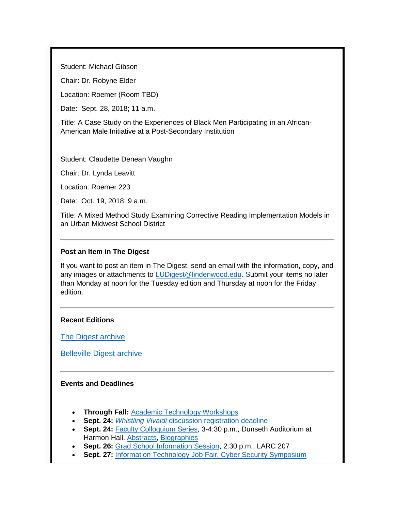Student: Michael Gibson

Chair: Dr. Robyne Elder

Location: Roemer (Room TBD)

Date: Sept. 28, 2018; 11 a.m.

Title: A Case Study on the Experiences of Black Men Participating in an African-American Male Initiative at a Post-Secondary Institution

Student: Claudette Denean Vaughn

Chair: Dr. Lynda Leavitt

Location: Roemer 223

Date: Oct. 19, 2018; 9 a.m.

Title: A Mixed Method Study Examining Corrective Reading Implementation Models in an Urban Midwest School District

## **Post an Item in The Digest**

If you want to post an item in The Digest, send an email with the information, copy, and any images or attachments to [LUDigest@lindenwood.edu.](mailto:LUDigest@lindenwood.edu) Submit your items no later than Monday at noon for the Tuesday edition and Thursday at noon for the Friday edition.

#### **Recent Editions**

[The Digest archive](http://www.lindenwood.edu/about/digest-archives/)

[Belleville Digest archive](http://www.lindenwood.edu/belleville/about/lindenwood-belleville-digest-archives/)

#### **Events and Deadlines**

- **Through Fall:** [Academic Technology Workshops](http://felix.lindenwood.edu/newsletter/2018_08/fallstaffcatalog.pdf)
- **Sept. 24:** *Whistling Vivaldi* [discussion registration deadline](https://lindenwood.az1.qualtrics.com/jfe/form/SV_7WgXgRhi57yf92d)
- **Sept. 24:** [Faculty Colloquium Series,](http://felix.lindenwood.edu/newsletter/2018_09/fcsflyer.pdf) 3-4:30 p.m., Dunseth Auditorium at Harmon Hall. [Abstracts,](http://felix.lindenwood.edu/newsletter/2018_09/fcsabstracts.pdf) [Biographies](http://felix.lindenwood.edu/newsletter/2018_09/fcsbios.pdf)
- **Sept. 26:** [Grad School Information Session,](http://felix.lindenwood.edu/newsletter/2018_09/gradschool.pdf) 2:30 p.m., LARC 207
- **Sept. 27:** [Information Technology Job Fair, Cyber Security Symposium](http://felix.lindenwood.edu/newsletter/2018_08/itjobfair.pdf)